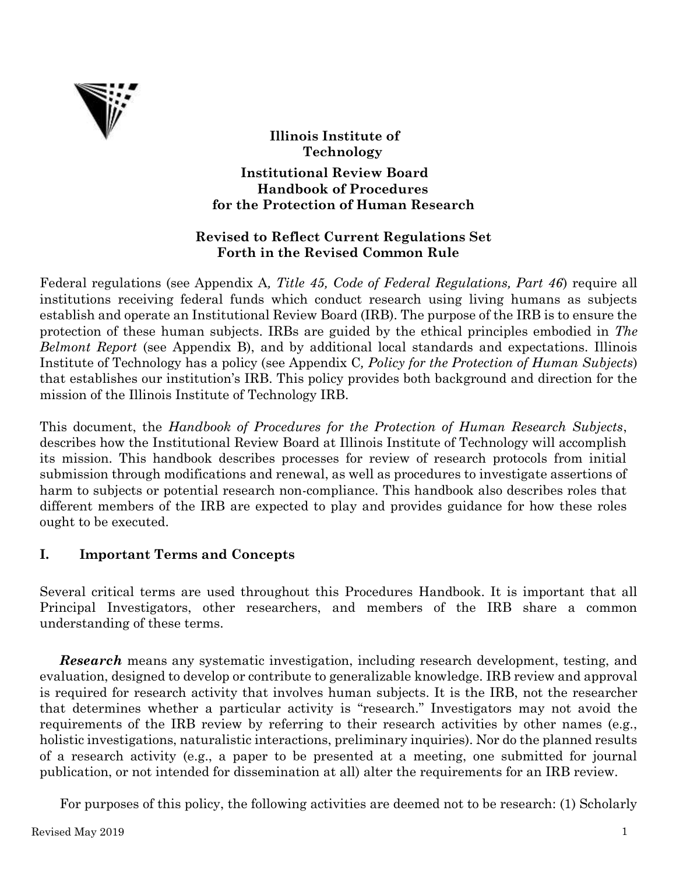

**Illinois Institute of Technology Institutional Review Board Handbook of Procedures for the Protection of Human Research**

## **Revised to Reflect Current Regulations Set Forth in the Revised Common Rule**

Federal regulations (see Appendix A*, Title 45, Code of Federal Regulations, Part 46*) require all institutions receiving federal funds which conduct research using living humans as subjects establish and operate an Institutional Review Board (IRB). The purpose of the IRB is to ensure the protection of these human subjects. IRBs are guided by the ethical principles embodied in *The Belmont Report* (see Appendix B), and by additional local standards and expectations. Illinois Institute of Technology has a policy (see Appendix C*, Policy for the Protection of Human Subjects*) that establishes our institution's IRB. This policy provides both background and direction for the mission of the Illinois Institute of Technology IRB.

This document, the *Handbook of Procedures for the Protection of Human Research Subjects*, describes how the Institutional Review Board at Illinois Institute of Technology will accomplish its mission. This handbook describes processes for review of research protocols from initial submission through modifications and renewal, as well as procedures to investigate assertions of harm to subjects or potential research non-compliance. This handbook also describes roles that different members of the IRB are expected to play and provides guidance for how these roles ought to be executed.

### **I. Important Terms and Concepts**

Several critical terms are used throughout this Procedures Handbook. It is important that all Principal Investigators, other researchers, and members of the IRB share a common understanding of these terms.

*Research* means any systematic investigation, including research development, testing, and evaluation, designed to develop or contribute to generalizable knowledge. IRB review and approval is required for research activity that involves human subjects. It is the IRB, not the researcher that determines whether a particular activity is "research." Investigators may not avoid the requirements of the IRB review by referring to their research activities by other names (e.g., holistic investigations, naturalistic interactions, preliminary inquiries). Nor do the planned results of a research activity (e.g., a paper to be presented at a meeting, one submitted for journal publication, or not intended for dissemination at all) alter the requirements for an IRB review.

For purposes of this policy, the following activities are deemed not to be research: (1) Scholarly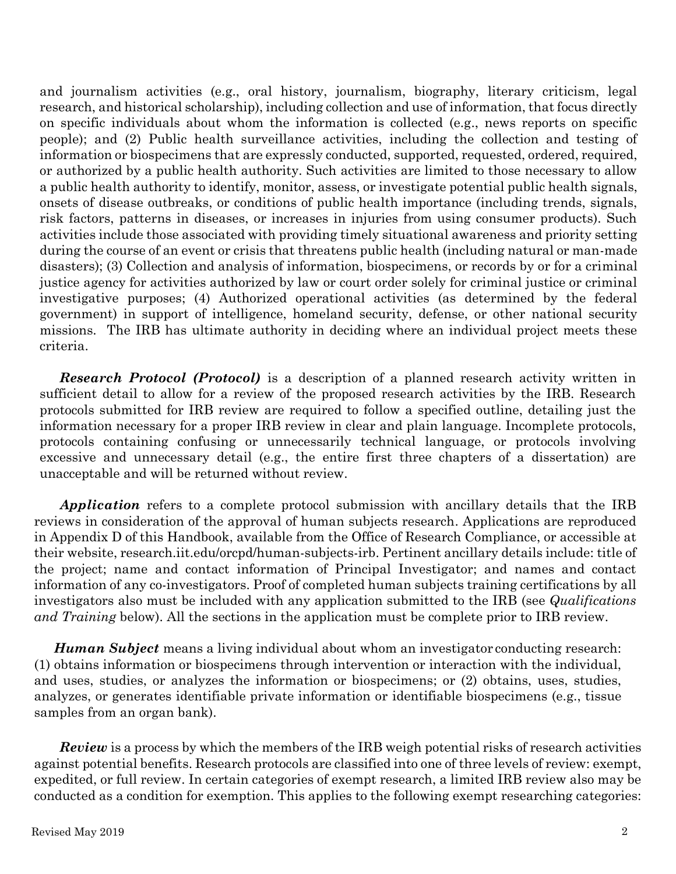and journalism activities (e.g., oral history, journalism, biography, literary criticism, legal research, and historical scholarship), including collection and use of information, that focus directly on specific individuals about whom the information is collected (e.g., news reports on specific people); and (2) Public health surveillance activities, including the collection and testing of information or biospecimens that are expressly conducted, supported, requested, ordered, required, or authorized by a public health authority. Such activities are limited to those necessary to allow a public health authority to identify, monitor, assess, or investigate potential public health signals, onsets of disease outbreaks, or conditions of public health importance (including trends, signals, risk factors, patterns in diseases, or increases in injuries from using consumer products). Such activities include those associated with providing timely situational awareness and priority setting during the course of an event or crisis that threatens public health (including natural or man-made disasters); (3) Collection and analysis of information, biospecimens, or records by or for a criminal justice agency for activities authorized by law or court order solely for criminal justice or criminal investigative purposes; (4) Authorized operational activities (as determined by the federal government) in support of intelligence, homeland security, defense, or other national security missions. The IRB has ultimate authority in deciding where an individual project meets these criteria.

*Research Protocol (Protocol)* is a description of a planned research activity written in sufficient detail to allow for a review of the proposed research activities by the IRB. Research protocols submitted for IRB review are required to follow a specified outline, detailing just the information necessary for a proper IRB review in clear and plain language. Incomplete protocols, protocols containing confusing or unnecessarily technical language, or protocols involving excessive and unnecessary detail (e.g., the entire first three chapters of a dissertation) are unacceptable and will be returned without review.

*Application* refers to a complete protocol submission with ancillary details that the IRB reviews in consideration of the approval of human subjects research. Applications are reproduced in Appendix D of this Handbook, available from the Office of Research Compliance, or accessible at their website, research.iit.edu/orcpd/human-subjects-irb. Pertinent ancillary details include: title of the project; name and contact information of Principal Investigator; and names and contact information of any co-investigators. Proof of completed human subjects training certifications by all investigators also must be included with any application submitted to the IRB (see *Qualifications and Training* below). All the sections in the application must be complete prior to IRB review.

*Human Subject* means a living individual about whom an investigator conducting research: (1) obtains information or biospecimens through intervention or interaction with the individual, and uses, studies, or analyzes the information or biospecimens; or (2) obtains, uses, studies, analyzes, or generates identifiable private information or identifiable biospecimens (e.g., tissue samples from an organ bank).

*Review* is a process by which the members of the IRB weigh potential risks of research activities against potential benefits. Research protocols are classified into one of three levels of review: exempt, expedited, or full review. In certain categories of exempt research, a limited IRB review also may be conducted as a condition for exemption. This applies to the following exempt researching categories: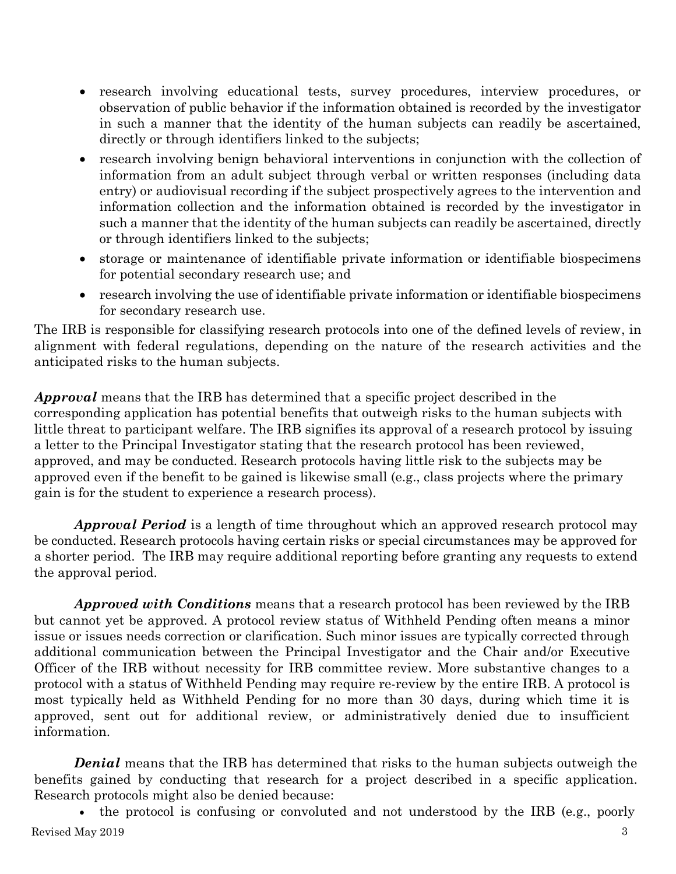- research involving educational tests, survey procedures, interview procedures, or observation of public behavior if the information obtained is recorded by the investigator in such a manner that the identity of the human subjects can readily be ascertained, directly or through identifiers linked to the subjects;
- research involving benign behavioral interventions in conjunction with the collection of information from an adult subject through verbal or written responses (including data entry) or audiovisual recording if the subject prospectively agrees to the intervention and information collection and the information obtained is recorded by the investigator in such a manner that the identity of the human subjects can readily be ascertained, directly or through identifiers linked to the subjects;
- storage or maintenance of identifiable private information or identifiable biospecimens for potential secondary research use; and
- research involving the use of identifiable private information or identifiable biospecimens for secondary research use.

The IRB is responsible for classifying research protocols into one of the defined levels of review, in alignment with federal regulations, depending on the nature of the research activities and the anticipated risks to the human subjects.

*Approval* means that the IRB has determined that a specific project described in the corresponding application has potential benefits that outweigh risks to the human subjects with little threat to participant welfare. The IRB signifies its approval of a research protocol by issuing a letter to the Principal Investigator stating that the research protocol has been reviewed, approved, and may be conducted. Research protocols having little risk to the subjects may be approved even if the benefit to be gained is likewise small (e.g., class projects where the primary gain is for the student to experience a research process).

*Approval Period* is a length of time throughout which an approved research protocol may be conducted. Research protocols having certain risks or special circumstances may be approved for a shorter period. The IRB may require additional reporting before granting any requests to extend the approval period.

*Approved with Conditions* means that a research protocol has been reviewed by the IRB but cannot yet be approved. A protocol review status of Withheld Pending often means a minor issue or issues needs correction or clarification. Such minor issues are typically corrected through additional communication between the Principal Investigator and the Chair and/or Executive Officer of the IRB without necessity for IRB committee review. More substantive changes to a protocol with a status of Withheld Pending may require re-review by the entire IRB. A protocol is most typically held as Withheld Pending for no more than 30 days, during which time it is approved, sent out for additional review, or administratively denied due to insufficient information.

**Denial** means that the IRB has determined that risks to the human subjects outweigh the benefits gained by conducting that research for a project described in a specific application. Research protocols might also be denied because:

 $\alpha$  Revised May 2019  $\alpha$  3 the protocol is confusing or convoluted and not understood by the IRB (e.g., poorly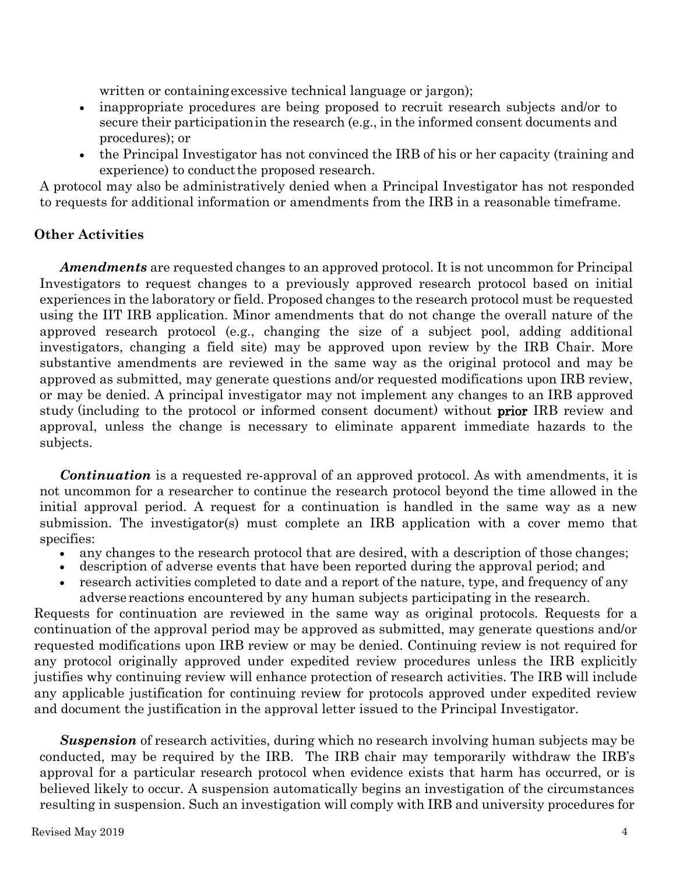written or containingexcessive technical language or jargon);

- inappropriate procedures are being proposed to recruit research subjects and/or to secure their participationin the research (e.g., in the informed consent documents and procedures); or
- the Principal Investigator has not convinced the IRB of his or her capacity (training and experience) to conductthe proposed research.

A protocol may also be administratively denied when a Principal Investigator has not responded to requests for additional information or amendments from the IRB in a reasonable timeframe.

#### **Other Activities**

*Amendments* are requested changes to an approved protocol. It is not uncommon for Principal Investigators to request changes to a previously approved research protocol based on initial experiences in the laboratory or field. Proposed changes to the research protocol must be requested using the IIT IRB application. Minor amendments that do not change the overall nature of the approved research protocol (e.g., changing the size of a subject pool, adding additional investigators, changing a field site) may be approved upon review by the IRB Chair. More substantive amendments are reviewed in the same way as the original protocol and may be approved as submitted, may generate questions and/or requested modifications upon IRB review, or may be denied. A principal investigator may not implement any changes to an IRB approved study (including to the protocol or informed consent document) without **prior** IRB review and approval, unless the change is necessary to eliminate apparent immediate hazards to the subjects.

*Continuation* is a requested re-approval of an approved protocol. As with amendments, it is not uncommon for a researcher to continue the research protocol beyond the time allowed in the initial approval period. A request for a continuation is handled in the same way as a new submission. The investigator(s) must complete an IRB application with a cover memo that specifies:

- any changes to the research protocol that are desired, with a description of those changes;
- description of adverse events that have been reported during the approval period; and
- research activities completed to date and a report of the nature, type, and frequency of any adverse reactions encountered by any human subjects participating in the research.

Requests for continuation are reviewed in the same way as original protocols. Requests for a continuation of the approval period may be approved as submitted, may generate questions and/or requested modifications upon IRB review or may be denied. Continuing review is not required for any protocol originally approved under expedited review procedures unless the IRB explicitly justifies why continuing review will enhance protection of research activities. The IRB will include any applicable justification for continuing review for protocols approved under expedited review and document the justification in the approval letter issued to the Principal Investigator.

*Suspension* of research activities, during which no research involving human subjects may be conducted, may be required by the IRB. The IRB chair may temporarily withdraw the IRB's approval for a particular research protocol when evidence exists that harm has occurred, or is believed likely to occur. A suspension automatically begins an investigation of the circumstances resulting in suspension. Such an investigation will comply with IRB and university procedures for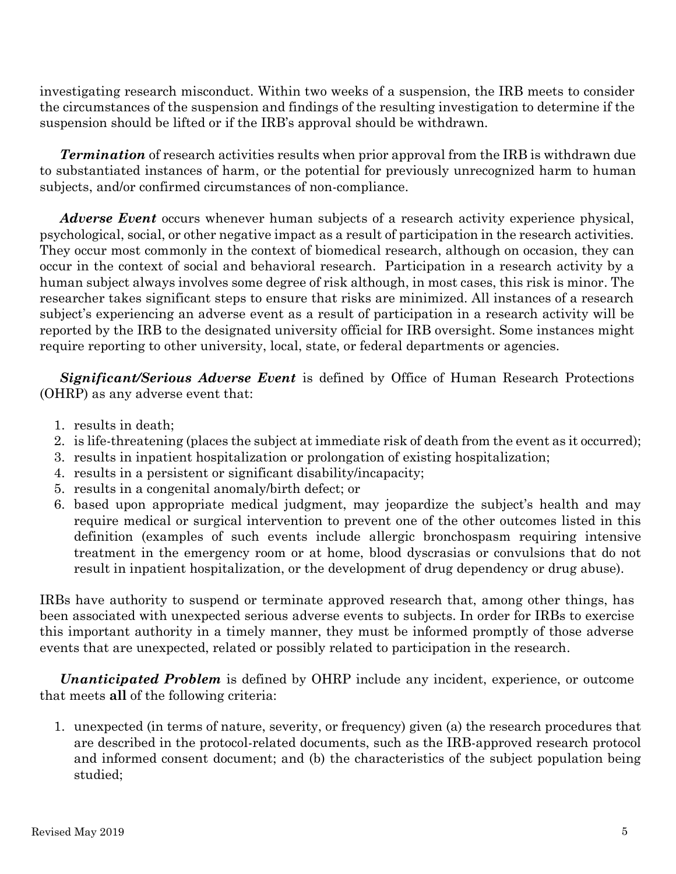investigating research misconduct. Within two weeks of a suspension, the IRB meets to consider the circumstances of the suspension and findings of the resulting investigation to determine if the suspension should be lifted or if the IRB's approval should be withdrawn.

*Termination* of research activities results when prior approval from the IRB is withdrawn due to substantiated instances of harm, or the potential for previously unrecognized harm to human subjects, and/or confirmed circumstances of non-compliance.

*Adverse Event* occurs whenever human subjects of a research activity experience physical, psychological, social, or other negative impact as a result of participation in the research activities. They occur most commonly in the context of biomedical research, although on occasion, they can occur in the context of social and behavioral research. Participation in a research activity by a human subject always involves some degree of risk although, in most cases, this risk is minor. The researcher takes significant steps to ensure that risks are minimized. All instances of a research subject's experiencing an adverse event as a result of participation in a research activity will be reported by the IRB to the designated university official for IRB oversight. Some instances might require reporting to other university, local, state, or federal departments or agencies.

*Significant/Serious Adverse Event* is defined by Office of Human Research Protections (OHRP) as any adverse event that:

- 1. results in death;
- 2. is life-threatening (places the subject at immediate risk of death from the event as it occurred);
- 3. results in inpatient hospitalization or prolongation of existing hospitalization;
- 4. results in a persistent or significant disability/incapacity;
- 5. results in a congenital anomaly/birth defect; or
- 6. based upon appropriate medical judgment, may jeopardize the subject's health and may require medical or surgical intervention to prevent one of the other outcomes listed in this definition (examples of such events include allergic bronchospasm requiring intensive treatment in the emergency room or at home, blood dyscrasias or convulsions that do not result in inpatient hospitalization, or the development of drug dependency or drug abuse).

IRBs have authority to suspend or terminate approved research that, among other things, has been associated with unexpected serious adverse events to subjects. In order for IRBs to exercise this important authority in a timely manner, they must be informed promptly of those adverse events that are unexpected, related or possibly related to participation in the research.

*Unanticipated Problem* is defined by OHRP include any incident, experience, or outcome that meets **all** of the following criteria:

1. unexpected (in terms of nature, severity, or frequency) given (a) the research procedures that are described in the protocol-related documents, such as the IRB-approved research protocol and informed consent document; and (b) the characteristics of the subject population being studied;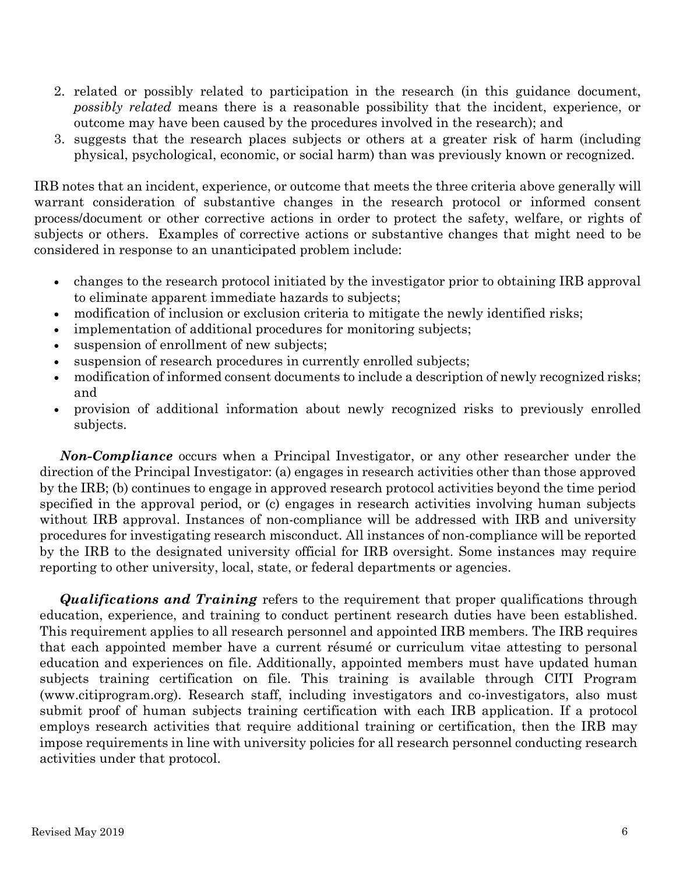- 2. related or possibly related to participation in the research (in this guidance document, *possibly related* means there is a reasonable possibility that the incident, experience, or outcome may have been caused by the procedures involved in the research); and
- 3. suggests that the research places subjects or others at a greater risk of harm (including physical, psychological, economic, or social harm) than was previously known or recognized.

IRB notes that an incident, experience, or outcome that meets the three criteria above generally will warrant consideration of substantive changes in the research protocol or informed consent process/document or other corrective actions in order to protect the safety, welfare, or rights of subjects or others. Examples of corrective actions or substantive changes that might need to be considered in response to an unanticipated problem include:

- changes to the research protocol initiated by the investigator prior to obtaining IRB approval to eliminate apparent immediate hazards to subjects;
- modification of inclusion or exclusion criteria to mitigate the newly identified risks;
- implementation of additional procedures for monitoring subjects;
- suspension of enrollment of new subjects;
- suspension of research procedures in currently enrolled subjects;
- modification of informed consent documents to include a description of newly recognized risks; and
- provision of additional information about newly recognized risks to previously enrolled subjects.

*Non-Compliance* occurs when a Principal Investigator, or any other researcher under the direction of the Principal Investigator: (a) engages in research activities other than those approved by the IRB; (b) continues to engage in approved research protocol activities beyond the time period specified in the approval period, or (c) engages in research activities involving human subjects without IRB approval. Instances of non-compliance will be addressed with IRB and university procedures for investigating research misconduct. All instances of non-compliance will be reported by the IRB to the designated university official for IRB oversight. Some instances may require reporting to other university, local, state, or federal departments or agencies.

*Qualifications and Training* refers to the requirement that proper qualifications through education, experience, and training to conduct pertinent research duties have been established. This requirement applies to all research personnel and appointed IRB members. The IRB requires that each appointed member have a current résumé or curriculum vitae attesting to personal education and experiences on file. Additionally, appointed members must have updated human subjects training certification on file. This training is available through CITI Program (www.citiprogram.org). Research staff, including investigators and co-investigators, also must submit proof of human subjects training certification with each IRB application. If a protocol employs research activities that require additional training or certification, then the IRB may impose requirements in line with university policies for all research personnel conducting research activities under that protocol.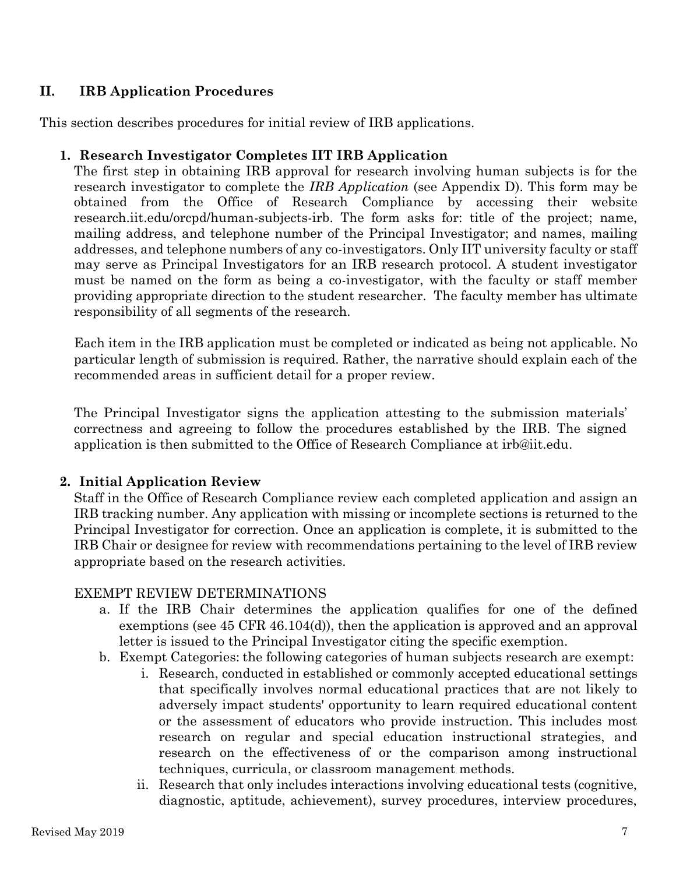## **II. IRB Application Procedures**

This section describes procedures for initial review of IRB applications.

#### **1. Research Investigator Completes IIT IRB Application**

The first step in obtaining IRB approval for research involving human subjects is for the research investigator to complete the *IRB Application* (see Appendix D). This form may be obtained from the Office of Research Compliance by accessing their website research.iit.edu/orcpd/human-subjects-irb. The form asks for: title of the project; name, mailing address, and telephone number of the Principal Investigator; and names, mailing addresses, and telephone numbers of any co-investigators. Only IIT university faculty or staff may serve as Principal Investigators for an IRB research protocol. A student investigator must be named on the form as being a co-investigator, with the faculty or staff member providing appropriate direction to the student researcher. The faculty member has ultimate responsibility of all segments of the research.

Each item in the IRB application must be completed or indicated as being not applicable. No particular length of submission is required. Rather, the narrative should explain each of the recommended areas in sufficient detail for a proper review.

The Principal Investigator signs the application attesting to the submission materials' correctness and agreeing to follow the procedures established by the IRB. The signed application is then submitted to the Office of Research Compliance at irb@iit.edu.

### **2. Initial Application Review**

Staff in the Office of Research Compliance review each completed application and assign an IRB tracking number. Any application with missing or incomplete sections is returned to the Principal Investigator for correction. Once an application is complete, it is submitted to the IRB Chair or designee for review with recommendations pertaining to the level of IRB review appropriate based on the research activities.

#### EXEMPT REVIEW DETERMINATIONS

- a. If the IRB Chair determines the application qualifies for one of the defined exemptions (see 45 CFR 46.104(d)), then the application is approved and an approval letter is issued to the Principal Investigator citing the specific exemption.
- b. Exempt Categories: the following categories of human subjects research are exempt:
	- i. Research, conducted in established or commonly accepted educational settings that specifically involves normal educational practices that are not likely to adversely impact students' opportunity to learn required educational content or the assessment of educators who provide instruction. This includes most research on regular and special education instructional strategies, and research on the effectiveness of or the comparison among instructional techniques, curricula, or classroom management methods.
	- ii. Research that only includes interactions involving educational tests (cognitive, diagnostic, aptitude, achievement), survey procedures, interview procedures,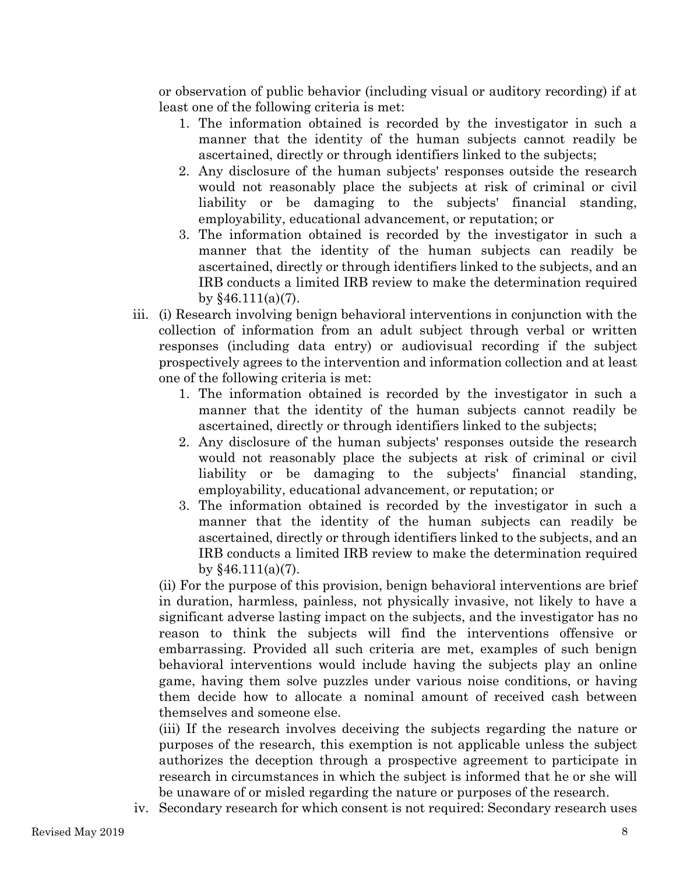or observation of public behavior (including visual or auditory recording) if at least one of the following criteria is met:

- 1. The information obtained is recorded by the investigator in such a manner that the identity of the human subjects cannot readily be ascertained, directly or through identifiers linked to the subjects;
- 2. Any disclosure of the human subjects' responses outside the research would not reasonably place the subjects at risk of criminal or civil liability or be damaging to the subjects' financial standing, employability, educational advancement, or reputation; or
- 3. The information obtained is recorded by the investigator in such a manner that the identity of the human subjects can readily be ascertained, directly or through identifiers linked to the subjects, and an IRB conducts a limited IRB review to make the determination required by  $§46.111(a)(7)$ .
- iii. (i) Research involving benign behavioral interventions in conjunction with the collection of information from an adult subject through verbal or written responses (including data entry) or audiovisual recording if the subject prospectively agrees to the intervention and information collection and at least one of the following criteria is met:
	- 1. The information obtained is recorded by the investigator in such a manner that the identity of the human subjects cannot readily be ascertained, directly or through identifiers linked to the subjects;
	- 2. Any disclosure of the human subjects' responses outside the research would not reasonably place the subjects at risk of criminal or civil liability or be damaging to the subjects' financial standing, employability, educational advancement, or reputation; or
	- 3. The information obtained is recorded by the investigator in such a manner that the identity of the human subjects can readily be ascertained, directly or through identifiers linked to the subjects, and an IRB conducts a limited IRB review to make the determination required by  $§46.111(a)(7)$ .

(ii) For the purpose of this provision, benign behavioral interventions are brief in duration, harmless, painless, not physically invasive, not likely to have a significant adverse lasting impact on the subjects, and the investigator has no reason to think the subjects will find the interventions offensive or embarrassing. Provided all such criteria are met, examples of such benign behavioral interventions would include having the subjects play an online game, having them solve puzzles under various noise conditions, or having them decide how to allocate a nominal amount of received cash between themselves and someone else.

(iii) If the research involves deceiving the subjects regarding the nature or purposes of the research, this exemption is not applicable unless the subject authorizes the deception through a prospective agreement to participate in research in circumstances in which the subject is informed that he or she will be unaware of or misled regarding the nature or purposes of the research.

iv. Secondary research for which consent is not required: Secondary research uses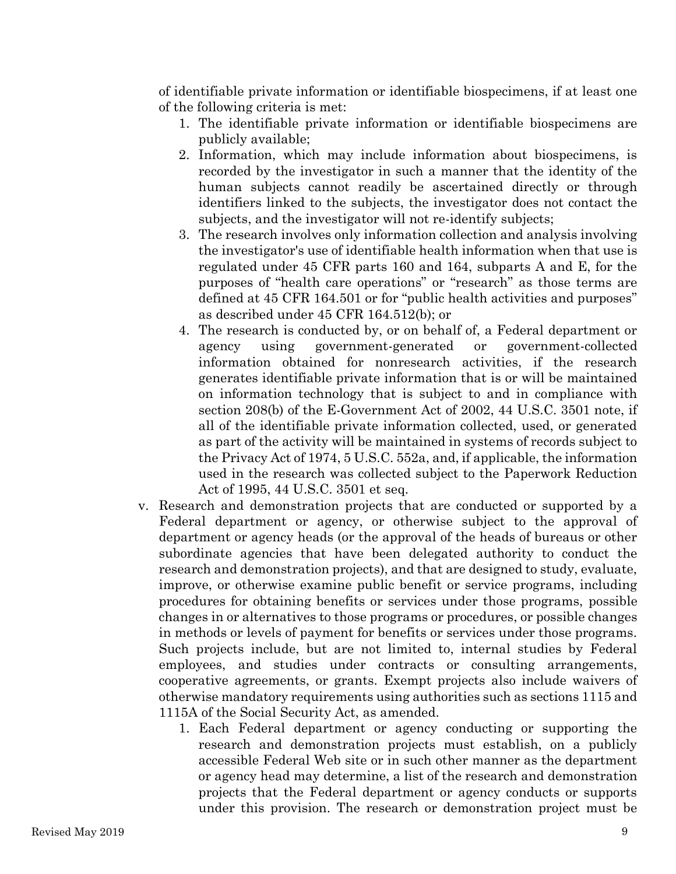of identifiable private information or identifiable biospecimens, if at least one of the following criteria is met:

- 1. The identifiable private information or identifiable biospecimens are publicly available;
- 2. Information, which may include information about biospecimens, is recorded by the investigator in such a manner that the identity of the human subjects cannot readily be ascertained directly or through identifiers linked to the subjects, the investigator does not contact the subjects, and the investigator will not re-identify subjects;
- 3. The research involves only information collection and analysis involving the investigator's use of identifiable health information when that use is regulated under 45 CFR parts 160 and 164, subparts A and E, for the purposes of "health care operations" or "research" as those terms are defined at 45 CFR 164.501 or for "public health activities and purposes" as described under 45 CFR 164.512(b); or
- 4. The research is conducted by, or on behalf of, a Federal department or agency using government-generated or government-collected information obtained for nonresearch activities, if the research generates identifiable private information that is or will be maintained on information technology that is subject to and in compliance with section 208(b) of the E-Government Act of 2002, 44 U.S.C. 3501 note, if all of the identifiable private information collected, used, or generated as part of the activity will be maintained in systems of records subject to the Privacy Act of 1974, 5 U.S.C. 552a, and, if applicable, the information used in the research was collected subject to the Paperwork Reduction Act of 1995, 44 U.S.C. 3501 et seq.
- v. Research and demonstration projects that are conducted or supported by a Federal department or agency, or otherwise subject to the approval of department or agency heads (or the approval of the heads of bureaus or other subordinate agencies that have been delegated authority to conduct the research and demonstration projects), and that are designed to study, evaluate, improve, or otherwise examine public benefit or service programs, including procedures for obtaining benefits or services under those programs, possible changes in or alternatives to those programs or procedures, or possible changes in methods or levels of payment for benefits or services under those programs. Such projects include, but are not limited to, internal studies by Federal employees, and studies under contracts or consulting arrangements, cooperative agreements, or grants. Exempt projects also include waivers of otherwise mandatory requirements using authorities such as sections 1115 and 1115A of the Social Security Act, as amended.
	- 1. Each Federal department or agency conducting or supporting the research and demonstration projects must establish, on a publicly accessible Federal Web site or in such other manner as the department or agency head may determine, a list of the research and demonstration projects that the Federal department or agency conducts or supports under this provision. The research or demonstration project must be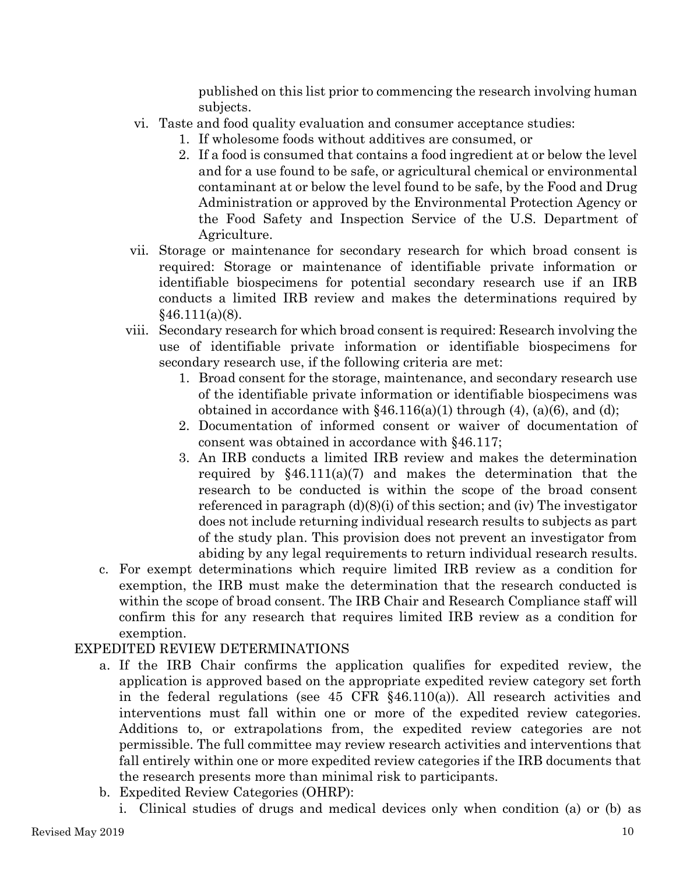published on this list prior to commencing the research involving human subjects.

- vi. Taste and food quality evaluation and consumer acceptance studies:
	- 1. If wholesome foods without additives are consumed, or
	- 2. If a food is consumed that contains a food ingredient at or below the level and for a use found to be safe, or agricultural chemical or environmental contaminant at or below the level found to be safe, by the Food and Drug Administration or approved by the Environmental Protection Agency or the Food Safety and Inspection Service of the U.S. Department of Agriculture.
- vii. Storage or maintenance for secondary research for which broad consent is required: Storage or maintenance of identifiable private information or identifiable biospecimens for potential secondary research use if an IRB conducts a limited IRB review and makes the determinations required by §46.111(a)(8).
- viii. Secondary research for which broad consent is required: Research involving the use of identifiable private information or identifiable biospecimens for secondary research use, if the following criteria are met:
	- 1. Broad consent for the storage, maintenance, and secondary research use of the identifiable private information or identifiable biospecimens was obtained in accordance with  $\S 46.116(a)(1)$  through  $(4)$ ,  $(a)(6)$ , and  $(d)$ ;
	- 2. Documentation of informed consent or waiver of documentation of consent was obtained in accordance with §46.117;
	- 3. An IRB conducts a limited IRB review and makes the determination required by  $§46.111(a)(7)$  and makes the determination that the research to be conducted is within the scope of the broad consent referenced in paragraph  $(d)(8)(i)$  of this section; and (iv) The investigator does not include returning individual research results to subjects as part of the study plan. This provision does not prevent an investigator from abiding by any legal requirements to return individual research results.
- c. For exempt determinations which require limited IRB review as a condition for exemption, the IRB must make the determination that the research conducted is within the scope of broad consent. The IRB Chair and Research Compliance staff will confirm this for any research that requires limited IRB review as a condition for exemption.

### EXPEDITED REVIEW DETERMINATIONS

- a. If the IRB Chair confirms the application qualifies for expedited review, the application is approved based on the appropriate expedited review category set forth in the federal regulations (see  $45$  CFR  $\S 46.110(a)$ ). All research activities and interventions must fall within one or more of the expedited review categories. Additions to, or extrapolations from, the expedited review categories are not permissible. The full committee may review research activities and interventions that fall entirely within one or more expedited review categories if the IRB documents that the research presents more than minimal risk to participants.
- b. Expedited Review Categories (OHRP):
	- i. Clinical studies of drugs and medical devices only when condition (a) or (b) as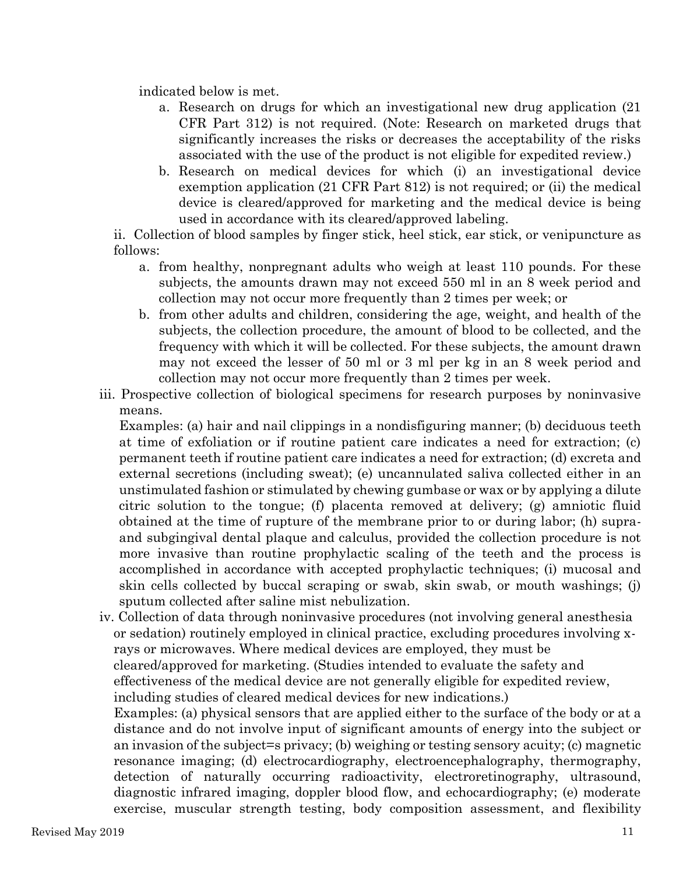indicated below is met.

- a. Research on drugs for which an investigational new drug application (21 CFR Part 312) is not required. (Note: Research on marketed drugs that significantly increases the risks or decreases the acceptability of the risks associated with the use of the product is not eligible for expedited review.)
- b. Research on medical devices for which (i) an investigational device exemption application (21 CFR Part 812) is not required; or (ii) the medical device is cleared/approved for marketing and the medical device is being used in accordance with its cleared/approved labeling.

ii. Collection of blood samples by finger stick, heel stick, ear stick, or venipuncture as follows:

- a. from healthy, nonpregnant adults who weigh at least 110 pounds. For these subjects, the amounts drawn may not exceed 550 ml in an 8 week period and collection may not occur more frequently than 2 times per week; or
- b. from other adults and children, considering the age, weight, and health of the subjects, the collection procedure, the amount of blood to be collected, and the frequency with which it will be collected. For these subjects, the amount drawn may not exceed the lesser of 50 ml or 3 ml per kg in an 8 week period and collection may not occur more frequently than 2 times per week.
- iii. Prospective collection of biological specimens for research purposes by noninvasive means.

Examples: (a) hair and nail clippings in a nondisfiguring manner; (b) deciduous teeth at time of exfoliation or if routine patient care indicates a need for extraction; (c) permanent teeth if routine patient care indicates a need for extraction; (d) excreta and external secretions (including sweat); (e) uncannulated saliva collected either in an unstimulated fashion or stimulated by chewing gumbase or wax or by applying a dilute citric solution to the tongue; (f) placenta removed at delivery; (g) amniotic fluid obtained at the time of rupture of the membrane prior to or during labor; (h) supraand subgingival dental plaque and calculus, provided the collection procedure is not more invasive than routine prophylactic scaling of the teeth and the process is accomplished in accordance with accepted prophylactic techniques; (i) mucosal and skin cells collected by buccal scraping or swab, skin swab, or mouth washings; (j) sputum collected after saline mist nebulization.

iv. Collection of data through noninvasive procedures (not involving general anesthesia or sedation) routinely employed in clinical practice, excluding procedures involving xrays or microwaves. Where medical devices are employed, they must be cleared/approved for marketing. (Studies intended to evaluate the safety and effectiveness of the medical device are not generally eligible for expedited review, including studies of cleared medical devices for new indications.) Examples: (a) physical sensors that are applied either to the surface of the body or at a distance and do not involve input of significant amounts of energy into the subject or an invasion of the subject=s privacy; (b) weighing or testing sensory acuity; (c) magnetic resonance imaging; (d) electrocardiography, electroencephalography, thermography, detection of naturally occurring radioactivity, electroretinography, ultrasound, diagnostic infrared imaging, doppler blood flow, and echocardiography; (e) moderate exercise, muscular strength testing, body composition assessment, and flexibility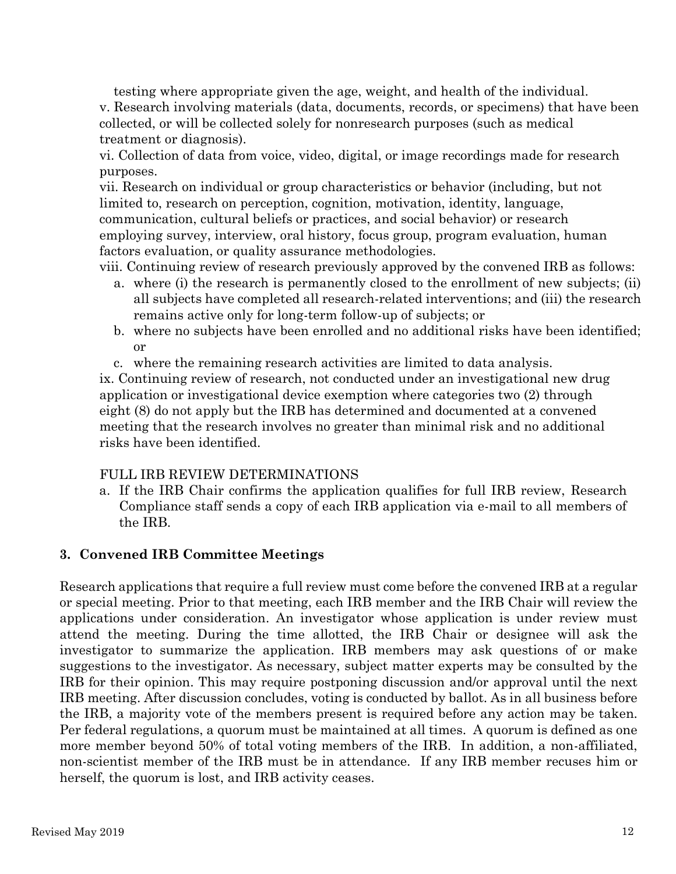testing where appropriate given the age, weight, and health of the individual. v. Research involving materials (data, documents, records, or specimens) that have been collected, or will be collected solely for nonresearch purposes (such as medical treatment or diagnosis).

vi. Collection of data from voice, video, digital, or image recordings made for research purposes.

vii. Research on individual or group characteristics or behavior (including, but not limited to, research on perception, cognition, motivation, identity, language, communication, cultural beliefs or practices, and social behavior) or research employing survey, interview, oral history, focus group, program evaluation, human factors evaluation, or quality assurance methodologies.

viii. Continuing review of research previously approved by the convened IRB as follows:

- a. where (i) the research is permanently closed to the enrollment of new subjects; (ii) all subjects have completed all research-related interventions; and (iii) the research remains active only for long-term follow-up of subjects; or
- b. where no subjects have been enrolled and no additional risks have been identified; or
- c. where the remaining research activities are limited to data analysis.

ix. Continuing review of research, not conducted under an investigational new drug application or investigational device exemption where categories two (2) through eight (8) do not apply but the IRB has determined and documented at a convened meeting that the research involves no greater than minimal risk and no additional risks have been identified.

### FULL IRB REVIEW DETERMINATIONS

a. If the IRB Chair confirms the application qualifies for full IRB review, Research Compliance staff sends a copy of each IRB application via e-mail to all members of the IRB.

### **3. Convened IRB Committee Meetings**

Research applications that require a full review must come before the convened IRB at a regular or special meeting. Prior to that meeting, each IRB member and the IRB Chair will review the applications under consideration. An investigator whose application is under review must attend the meeting. During the time allotted, the IRB Chair or designee will ask the investigator to summarize the application. IRB members may ask questions of or make suggestions to the investigator. As necessary, subject matter experts may be consulted by the IRB for their opinion. This may require postponing discussion and/or approval until the next IRB meeting. After discussion concludes, voting is conducted by ballot. As in all business before the IRB, a majority vote of the members present is required before any action may be taken. Per federal regulations, a quorum must be maintained at all times. A quorum is defined as one more member beyond 50% of total voting members of the IRB. In addition, a non-affiliated, non-scientist member of the IRB must be in attendance. If any IRB member recuses him or herself, the quorum is lost, and IRB activity ceases.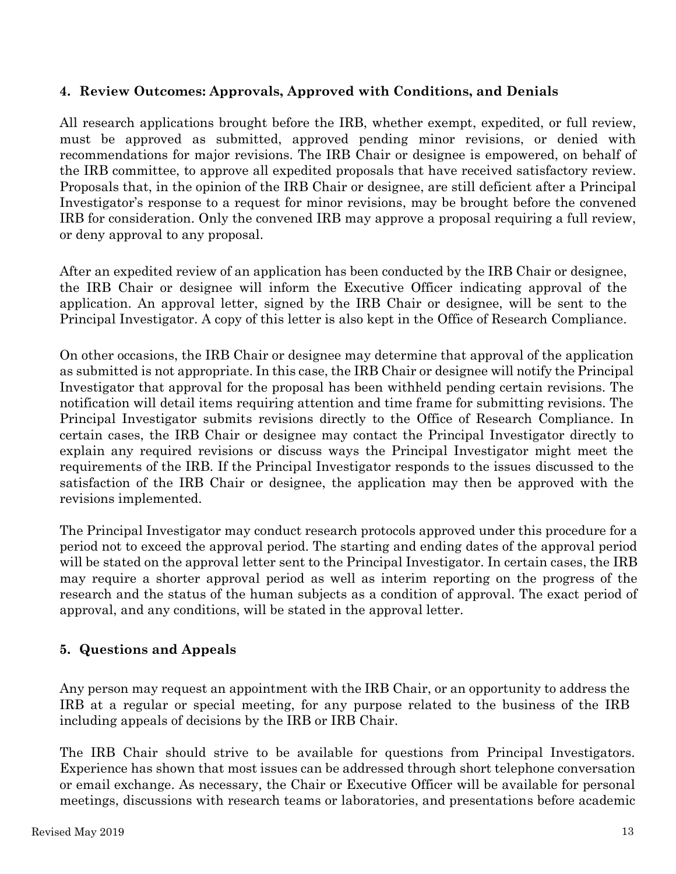## **4. Review Outcomes: Approvals, Approved with Conditions, and Denials**

All research applications brought before the IRB, whether exempt, expedited, or full review, must be approved as submitted, approved pending minor revisions, or denied with recommendations for major revisions. The IRB Chair or designee is empowered, on behalf of the IRB committee, to approve all expedited proposals that have received satisfactory review. Proposals that, in the opinion of the IRB Chair or designee, are still deficient after a Principal Investigator's response to a request for minor revisions, may be brought before the convened IRB for consideration. Only the convened IRB may approve a proposal requiring a full review, or deny approval to any proposal.

After an expedited review of an application has been conducted by the IRB Chair or designee, the IRB Chair or designee will inform the Executive Officer indicating approval of the application. An approval letter, signed by the IRB Chair or designee, will be sent to the Principal Investigator. A copy of this letter is also kept in the Office of Research Compliance.

On other occasions, the IRB Chair or designee may determine that approval of the application as submitted is not appropriate. In this case, the IRB Chair or designee will notify the Principal Investigator that approval for the proposal has been withheld pending certain revisions. The notification will detail items requiring attention and time frame for submitting revisions. The Principal Investigator submits revisions directly to the Office of Research Compliance. In certain cases, the IRB Chair or designee may contact the Principal Investigator directly to explain any required revisions or discuss ways the Principal Investigator might meet the requirements of the IRB. If the Principal Investigator responds to the issues discussed to the satisfaction of the IRB Chair or designee, the application may then be approved with the revisions implemented.

The Principal Investigator may conduct research protocols approved under this procedure for a period not to exceed the approval period. The starting and ending dates of the approval period will be stated on the approval letter sent to the Principal Investigator. In certain cases, the IRB may require a shorter approval period as well as interim reporting on the progress of the research and the status of the human subjects as a condition of approval. The exact period of approval, and any conditions, will be stated in the approval letter.

### **5. Questions and Appeals**

Any person may request an appointment with the IRB Chair, or an opportunity to address the IRB at a regular or special meeting, for any purpose related to the business of the IRB including appeals of decisions by the IRB or IRB Chair.

The IRB Chair should strive to be available for questions from Principal Investigators. Experience has shown that most issues can be addressed through short telephone conversation or email exchange. As necessary, the Chair or Executive Officer will be available for personal meetings, discussions with research teams or laboratories, and presentations before academic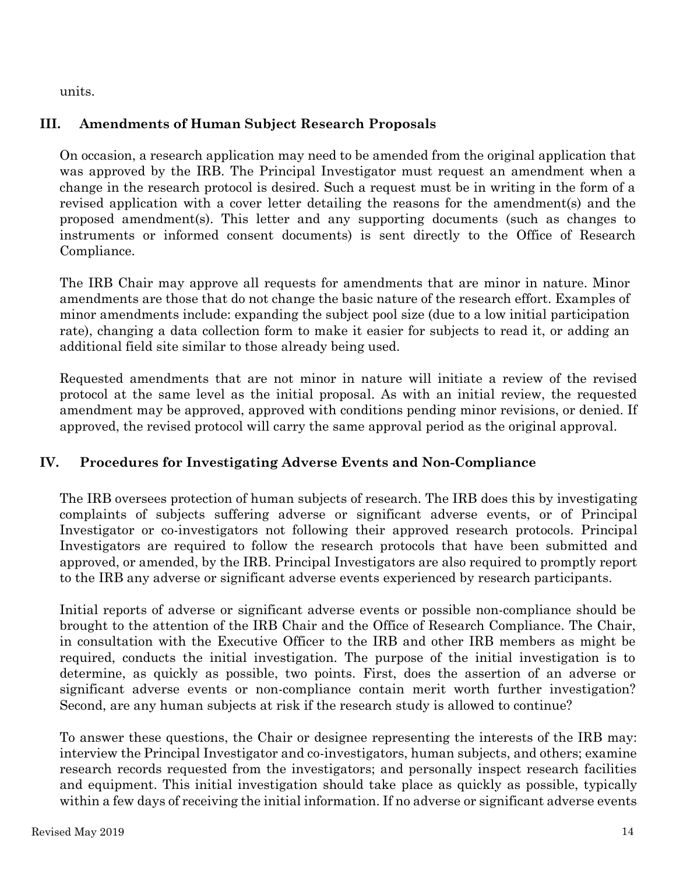units.

# **III. Amendments of Human Subject Research Proposals**

On occasion, a research application may need to be amended from the original application that was approved by the IRB. The Principal Investigator must request an amendment when a change in the research protocol is desired. Such a request must be in writing in the form of a revised application with a cover letter detailing the reasons for the amendment(s) and the proposed amendment(s). This letter and any supporting documents (such as changes to instruments or informed consent documents) is sent directly to the Office of Research Compliance.

The IRB Chair may approve all requests for amendments that are minor in nature. Minor amendments are those that do not change the basic nature of the research effort. Examples of minor amendments include: expanding the subject pool size (due to a low initial participation rate), changing a data collection form to make it easier for subjects to read it, or adding an additional field site similar to those already being used.

Requested amendments that are not minor in nature will initiate a review of the revised protocol at the same level as the initial proposal. As with an initial review, the requested amendment may be approved, approved with conditions pending minor revisions, or denied. If approved, the revised protocol will carry the same approval period as the original approval.

## **IV. Procedures for Investigating Adverse Events and Non-Compliance**

The IRB oversees protection of human subjects of research. The IRB does this by investigating complaints of subjects suffering adverse or significant adverse events, or of Principal Investigator or co-investigators not following their approved research protocols. Principal Investigators are required to follow the research protocols that have been submitted and approved, or amended, by the IRB. Principal Investigators are also required to promptly report to the IRB any adverse or significant adverse events experienced by research participants.

Initial reports of adverse or significant adverse events or possible non-compliance should be brought to the attention of the IRB Chair and the Office of Research Compliance. The Chair, in consultation with the Executive Officer to the IRB and other IRB members as might be required, conducts the initial investigation. The purpose of the initial investigation is to determine, as quickly as possible, two points. First, does the assertion of an adverse or significant adverse events or non-compliance contain merit worth further investigation? Second, are any human subjects at risk if the research study is allowed to continue?

To answer these questions, the Chair or designee representing the interests of the IRB may: interview the Principal Investigator and co-investigators, human subjects, and others; examine research records requested from the investigators; and personally inspect research facilities and equipment. This initial investigation should take place as quickly as possible, typically within a few days of receiving the initial information. If no adverse or significant adverse events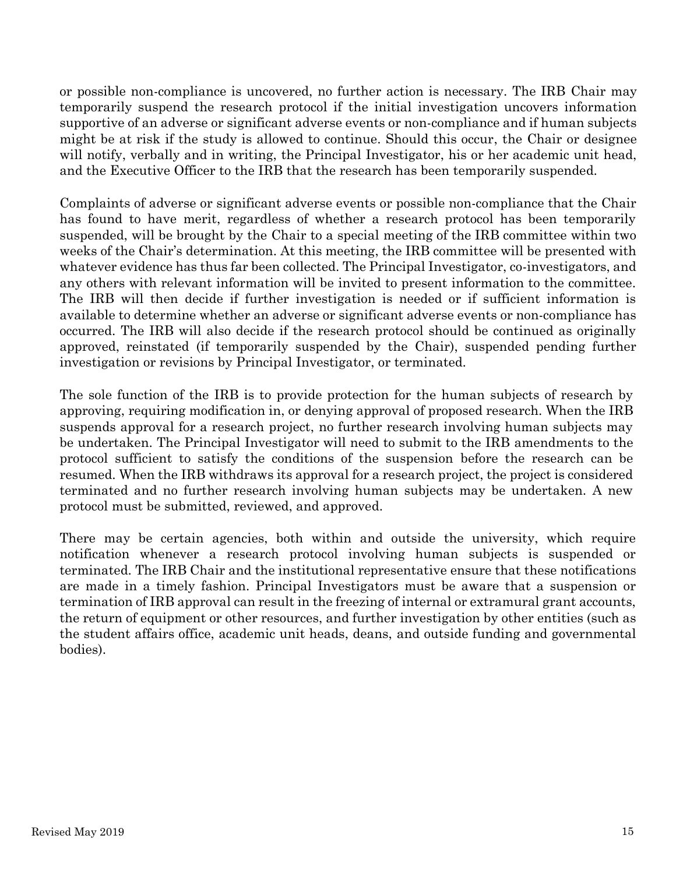or possible non-compliance is uncovered, no further action is necessary. The IRB Chair may temporarily suspend the research protocol if the initial investigation uncovers information supportive of an adverse or significant adverse events or non-compliance and if human subjects might be at risk if the study is allowed to continue. Should this occur, the Chair or designee will notify, verbally and in writing, the Principal Investigator, his or her academic unit head, and the Executive Officer to the IRB that the research has been temporarily suspended.

Complaints of adverse or significant adverse events or possible non-compliance that the Chair has found to have merit, regardless of whether a research protocol has been temporarily suspended, will be brought by the Chair to a special meeting of the IRB committee within two weeks of the Chair's determination. At this meeting, the IRB committee will be presented with whatever evidence has thus far been collected. The Principal Investigator, co-investigators, and any others with relevant information will be invited to present information to the committee. The IRB will then decide if further investigation is needed or if sufficient information is available to determine whether an adverse or significant adverse events or non-compliance has occurred. The IRB will also decide if the research protocol should be continued as originally approved, reinstated (if temporarily suspended by the Chair), suspended pending further investigation or revisions by Principal Investigator, or terminated.

The sole function of the IRB is to provide protection for the human subjects of research by approving, requiring modification in, or denying approval of proposed research. When the IRB suspends approval for a research project, no further research involving human subjects may be undertaken. The Principal Investigator will need to submit to the IRB amendments to the protocol sufficient to satisfy the conditions of the suspension before the research can be resumed. When the IRB withdraws its approval for a research project, the project is considered terminated and no further research involving human subjects may be undertaken. A new protocol must be submitted, reviewed, and approved.

There may be certain agencies, both within and outside the university, which require notification whenever a research protocol involving human subjects is suspended or terminated. The IRB Chair and the institutional representative ensure that these notifications are made in a timely fashion. Principal Investigators must be aware that a suspension or termination of IRB approval can result in the freezing of internal or extramural grant accounts, the return of equipment or other resources, and further investigation by other entities (such as the student affairs office, academic unit heads, deans, and outside funding and governmental bodies).